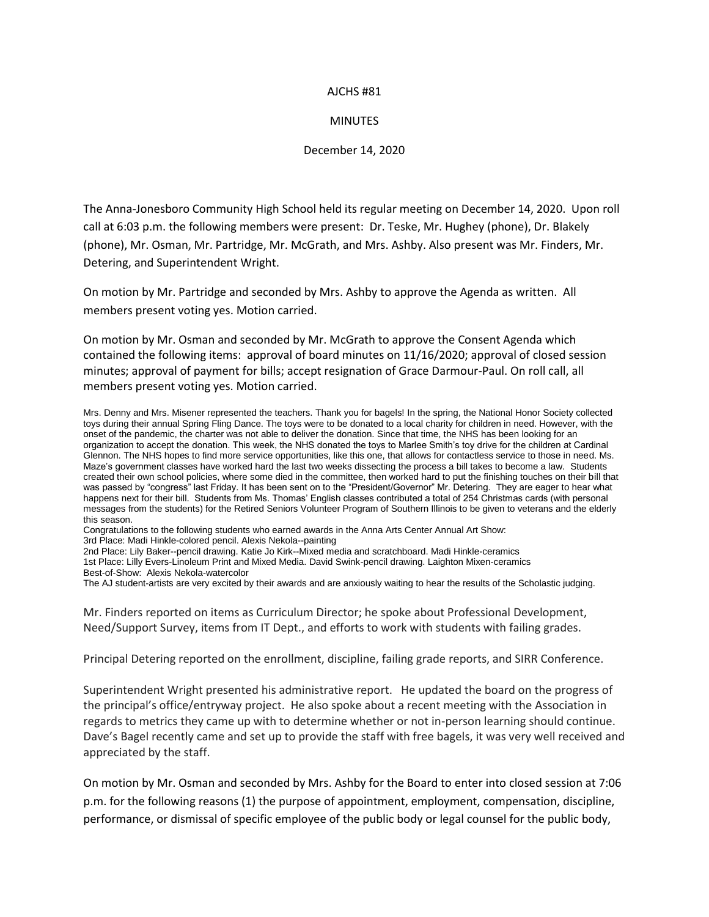## AJCHS #81

## **MINUTES**

## December 14, 2020

The Anna-Jonesboro Community High School held its regular meeting on December 14, 2020. Upon roll call at 6:03 p.m. the following members were present: Dr. Teske, Mr. Hughey (phone), Dr. Blakely (phone), Mr. Osman, Mr. Partridge, Mr. McGrath, and Mrs. Ashby. Also present was Mr. Finders, Mr. Detering, and Superintendent Wright.

On motion by Mr. Partridge and seconded by Mrs. Ashby to approve the Agenda as written. All members present voting yes. Motion carried.

On motion by Mr. Osman and seconded by Mr. McGrath to approve the Consent Agenda which contained the following items: approval of board minutes on 11/16/2020; approval of closed session minutes; approval of payment for bills; accept resignation of Grace Darmour-Paul. On roll call, all members present voting yes. Motion carried.

Mrs. Denny and Mrs. Misener represented the teachers. Thank you for bagels! In the spring, the National Honor Society collected toys during their annual Spring Fling Dance. The toys were to be donated to a local charity for children in need. However, with the onset of the pandemic, the charter was not able to deliver the donation. Since that time, the NHS has been looking for an organization to accept the donation. This week, the NHS donated the toys to Marlee Smith's toy drive for the children at Cardinal Glennon. The NHS hopes to find more service opportunities, like this one, that allows for contactless service to those in need. Ms. Maze's government classes have worked hard the last two weeks dissecting the process a bill takes to become a law. Students created their own school policies, where some died in the committee, then worked hard to put the finishing touches on their bill that was passed by "congress" last Friday. It has been sent on to the "President/Governor" Mr. Detering. They are eager to hear what happens next for their bill. Students from Ms. Thomas' English classes contributed a total of 254 Christmas cards (with personal messages from the students) for the Retired Seniors Volunteer Program of Southern Illinois to be given to veterans and the elderly this season.

Congratulations to the following students who earned awards in the Anna Arts Center Annual Art Show: 3rd Place: Madi Hinkle-colored pencil. Alexis Nekola--painting

2nd Place: Lily Baker--pencil drawing. Katie Jo Kirk--Mixed media and scratchboard. Madi Hinkle-ceramics

1st Place: Lilly Evers-Linoleum Print and Mixed Media. David Swink-pencil drawing. Laighton Mixen-ceramics

Best-of-Show: Alexis Nekola-watercolor

The AJ student-artists are very excited by their awards and are anxiously waiting to hear the results of the Scholastic judging.

Mr. Finders reported on items as Curriculum Director; he spoke about Professional Development, Need/Support Survey, items from IT Dept., and efforts to work with students with failing grades.

Principal Detering reported on the enrollment, discipline, failing grade reports, and SIRR Conference.

Superintendent Wright presented his administrative report. He updated the board on the progress of the principal's office/entryway project. He also spoke about a recent meeting with the Association in regards to metrics they came up with to determine whether or not in-person learning should continue. Dave's Bagel recently came and set up to provide the staff with free bagels, it was very well received and appreciated by the staff.

On motion by Mr. Osman and seconded by Mrs. Ashby for the Board to enter into closed session at 7:06 p.m. for the following reasons (1) the purpose of appointment, employment, compensation, discipline, performance, or dismissal of specific employee of the public body or legal counsel for the public body,